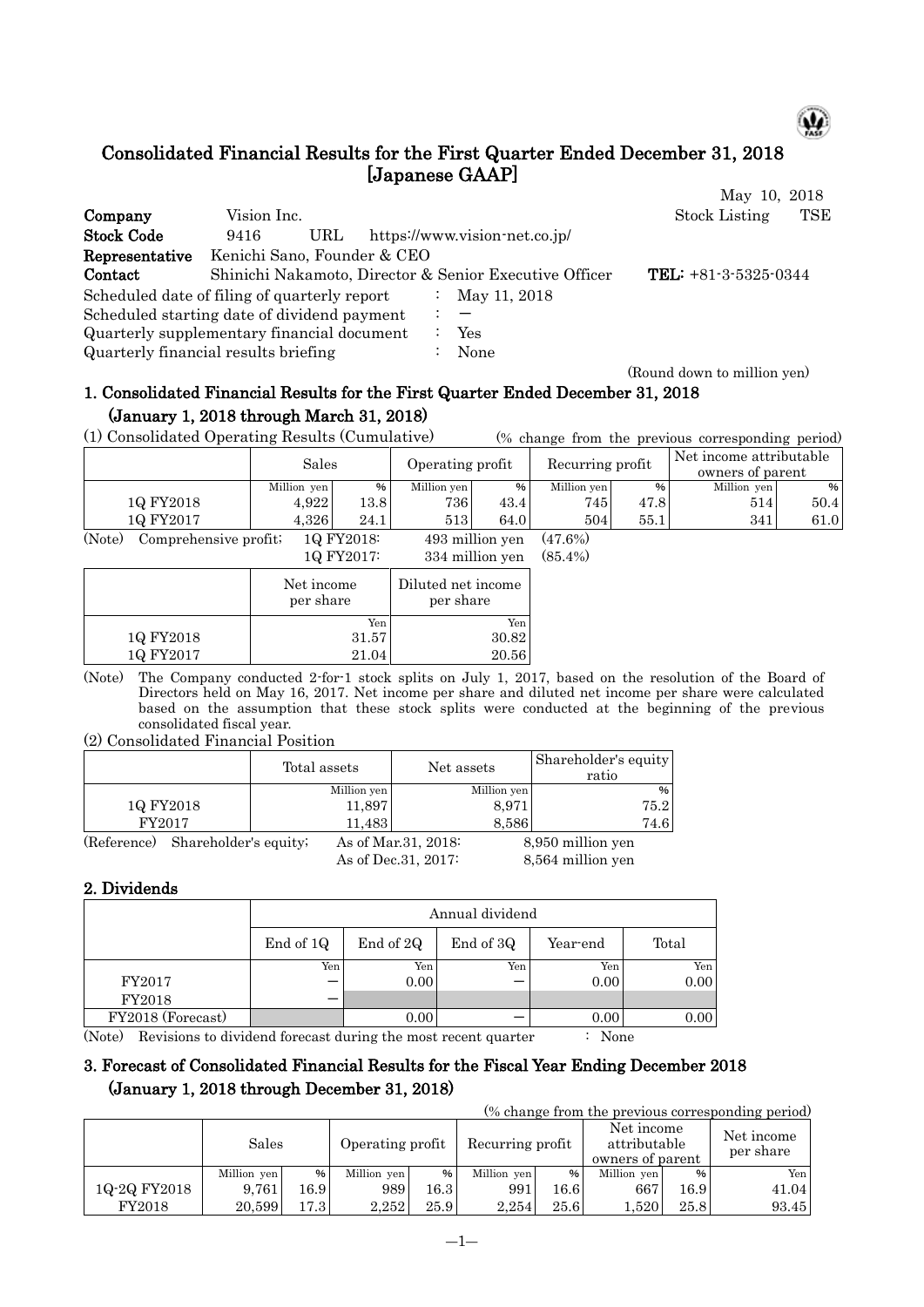

# Consolidated Financial Results for the First Quarter Ended December 31, 2018 [Japanese GAAP]

|                                              |                             |     |  |                                                        | May 10, 2018           |     |
|----------------------------------------------|-----------------------------|-----|--|--------------------------------------------------------|------------------------|-----|
| Company                                      | Vision Inc.                 |     |  |                                                        | <b>Stock Listing</b>   | TSE |
| <b>Stock Code</b>                            | 9416                        | URL |  | https://www.vision-net.co.jp/                          |                        |     |
| Representative                               | Kenichi Sano, Founder & CEO |     |  |                                                        |                        |     |
| Contact                                      |                             |     |  | Shinichi Nakamoto, Director & Senior Executive Officer | TEL: $+81-3-5325-0344$ |     |
| Scheduled date of filing of quarterly report |                             |     |  | May 11, 2018                                           |                        |     |
| Scheduled starting date of dividend payment  |                             |     |  |                                                        |                        |     |
| Quarterly supplementary financial document   |                             |     |  | Yes                                                    |                        |     |
| Quarterly financial results briefing         |                             |     |  | None                                                   |                        |     |

(Round down to million yen)

# 1. Consolidated Financial Results for the First Quarter Ended December 31, 2018 (January 1, 2018 through March 31, 2018)

(1) Consolidated Operating Results (Cumulative) (% change from the previous corresponding period)

|                            | Sales          |            | Operating profit                 |      | Recurring profit      |               | Net income attributable<br>owners of parent |      |  |
|----------------------------|----------------|------------|----------------------------------|------|-----------------------|---------------|---------------------------------------------|------|--|
|                            | Million yen    | %          | Million yen                      | %    | Million yen           | $\frac{9}{6}$ | Million yen                                 | %    |  |
| 10 FY2018                  | 4,922          | 13.8       | 736                              | 43.4 | 745                   | 47.8          | 514                                         | 50.4 |  |
| 10 FY2017                  | 4.326          | 24.1       | 5131                             | 64.0 | 504                   | 55.1          | 341                                         | 61.0 |  |
| $(\mathbf{r}, \mathbf{r})$ | $\mathbf{r}$ . | 10 T T0010 | $\cdot$ 11 $\cdot$<br>$\sqrt{2}$ |      | $\sqrt{2}$ $\sqrt{2}$ |               |                                             |      |  |

(Note) Comprehensive profit;  $1Q FY2018$ :  $493$  million yen  $(47.6%)$ <br> $1Q FY2017$ :  $334$  million yen  $(85.4%)$ 334 million yen (85.4%)

|           | 1 Y.H 1 2 V 1 1         | $001$ minimum $701$             |
|-----------|-------------------------|---------------------------------|
|           | Net income<br>per share | Diluted net income<br>per share |
|           | Yen                     | Yen                             |
| 1Q FY2018 | 31.57                   | 30.82                           |
| 1Q FY2017 | 21.04                   | 20.56                           |
|           |                         |                                 |

(Note) The Company conducted 2-for-1 stock splits on July 1, 2017, based on the resolution of the Board of Directors held on May 16, 2017. Net income per share and diluted net income per share were calculated based on the assumption that these stock splits were conducted at the beginning of the previous consolidated fiscal year.

(2) Consolidated Financial Position

|                                      | Total assets | Net assets                                   | Shareholder's equity<br>ratio          |
|--------------------------------------|--------------|----------------------------------------------|----------------------------------------|
|                                      | Million yen  | Million yen                                  | %                                      |
| 1Q FY2018                            | 11,897       | 8,971                                        | 75.2                                   |
| FY2017                               | 11,483       | 8,586                                        | 74.6                                   |
| Shareholder's equity;<br>(Reference) |              | As of Mar. 31, 2018:<br>As of Dec. 31, 2017: | 8,950 million yen<br>8,564 million yen |

## 2. Dividends

|           | Annual dividend |           |          |       |  |  |  |  |  |  |  |
|-----------|-----------------|-----------|----------|-------|--|--|--|--|--|--|--|
| End of 1Q | End of 2Q       | End of 3Q | Year-end | Total |  |  |  |  |  |  |  |
| Yen       | Yen             | Yen       | Yen      | Yen   |  |  |  |  |  |  |  |
|           | 0.00            |           | 0.00     | 0.00  |  |  |  |  |  |  |  |
|           |                 |           |          |       |  |  |  |  |  |  |  |
|           | 0.00            |           | 0.00     | 0.00  |  |  |  |  |  |  |  |
|           |                 |           |          |       |  |  |  |  |  |  |  |

(Note) Revisions to dividend forecast during the most recent quarter : None

## 3. Forecast of Consolidated Financial Results for the Fiscal Year Ending December 2018 (January 1, 2018 through December 31, 2018)

(% change from the previous corresponding period)

|              | Sales       |         | Operating profit |               | Recurring profit |      | Net income<br>attributable<br>owners of parent |      | Net income<br>per share |
|--------------|-------------|---------|------------------|---------------|------------------|------|------------------------------------------------|------|-------------------------|
|              | Million yen | %       | Million yen      | $\frac{9}{6}$ | Million yen      | %    | Million yen                                    | $\%$ | Yen                     |
| 1Q-2Q FY2018 | 9.761       | 16.9    | 9891             | 16.3          | 991              | 16.6 | 667                                            | 16.9 | 41.04                   |
| FY2018       | 20.599      | l 7.3 I | 2.252            | 25.9          | 2.254            | 25.6 | 1,520                                          | 25.8 | 93.45                   |